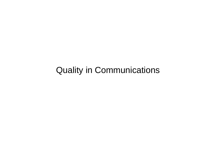# Quality in Communications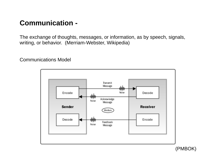## **Communication -**

The exchange of thoughts, messages, or information, as by speech, signals, writing, or behavior. (Merriam-Webster, Wikipedia)

Communications Model



(PMBOK)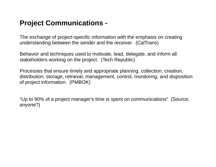#### **Project Communications -**

The exchange of project-specific information with the emphasis on creating understanding between the sender and the receiver. (CalTrans)

Behavior and techniques used to motivate, lead, delegate, and inform all stakeholders working on the project. (Tech Republic)

Processes that ensure timely and appropriate planning, collection, creation, distribution, storage, retrieval, management, control, monitoring, and disposition of project information. (PMBOK)

"Up to 90% of a project manager's time is spent on communications" (Source, anyone?)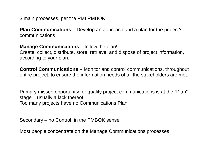3 main processes, per the PMI PMBOK:

**Plan Communications** – Develop an approach and a plan for the project's communications

**Manage Communications** – follow the plan!

Create, collect, distribute, store, retrieve, and dispose of project information, according to your plan.

**Control Communications** – Monitor and control communications, throughout entire project, to ensure the information needs of all the stakeholders are met.

Primary missed opportunity for quality project communications is at the "Plan" stage – usually a lack thereof. Too many projects have no Communications Plan.

Secondary – no Control, in the PMBOK sense.

Most people concentrate on the Manage Communications processes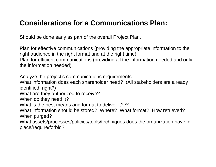## **Considerations for a Communications Plan:**

Should be done early as part of the overall Project Plan.

Plan for effective communications (providing the appropriate information to the right audience in the right format and at the right time).

Plan for efficient communications (providing all the information needed and only the information needed).

Analyze the project's communications requirements -

What information does each shareholder need? (All stakeholders are already identified, right?)

What are they authorized to receive?

When do they need it?

What is the best means and format to deliver it? \*\*

What information should be stored? Where? What format? How retrieved? When purged?

What assets/processes/policies/tools/techniques does the organization have in place/require/forbid?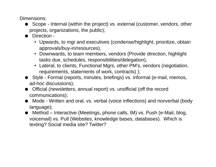Dimensions:

- Scope Internal (within the project) vs. external (customer, vendors, other projects, organizations, the public);
- Direction -
	- Upwards, to mgr and executives (condense/highlight, prioritize, obtain approvals/buy-in/resources),
	- Downwards, to team members, vendors (Provide direction, highlight tasks due, schedules, responsibilities/delegation),
	- Lateral, to clients, Functional Mgrs, other PM's, vendors (negotiation, requirements, statements of work, contracts) );
- Style Formal (reports, minutes, briefings) vs. informal (e-mail, memos, ad-hoc discussions);
- Official (newsletters, annual report) vs. unofficial (off the record communications);
- Mode Written and oral, vs. verbal (voice inflections) and nonverbal (body language);
- Method Interactive (Meetings, phone calls, IM) vs. Push (e-Mail, blog, voicemail) vs. Pull (Websites, knowledge bases, databases). Which is texting? Social media site? Twitter?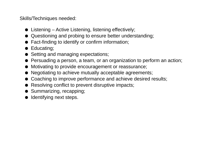Skills/Techniques needed:

- $\bullet$  Listening Active Listening, listening effectively;
- Questioning and probing to ensure better understanding;
- Fact-finding to identify or confirm information;
- Educating;
- Setting and managing expectations;
- Persuading a person, a team, or an organization to perform an action;
- Motivating to provide encouragement or reassurance;
- Negotiating to achieve mutually acceptable agreements;
- Coaching to improve performance and achieve desired results;
- Resolving conflict to prevent disruptive impacts;
- Summarizing, recapping;
- Identifying next steps.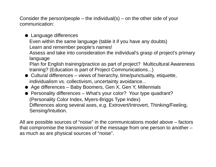Consider the person/people – the individual(s) – on the other side of your communication:

#### ● Language differences Even within the same language (table it if you have any doubts) Learn and remember people's names! Assess and take into consideration the individual's grasp of project's primary language Plan for English training/practice as part of project? Multicultural Awareness training? (Education is part of Project Communications...)

- Cultural differences views of hierarchy, time/punctuality, etiquette, individualism vs. collectivism, uncertainty avoidance...
- Age differences Baby Boomers, Gen X, Gen Y, Millennials
- Personality differences What's your color? Your type quadrant? (Personality Color Index, Myers-Briggs Type Index) Differences along several axes, e.g. Extrovert/Introvert, Thinking/Feeling, Sensing/Intuition.

All are possible sources of "noise" in the communications model above – factors that compromise the transmission of the message from one person to another – as much as are physical sources of "noise".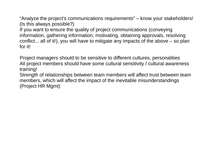"Analyze the project's communications requirements" – know your stakeholders! (Is this always possible?)

If you want to ensure the quality of project communications (conveying information, gathering information, motivating, obtaining approvals, resolving conflict... all of it!), you will have to mitigate any impacts of the above – so plan for it!

Project managers should to be sensitive to different cultures, personalities All project members should have some cultural sensitivity / cultural awareness training!

Strength of relationships between team members will affect trust between team members, which will affect the impact of the inevitable misunderstandings (Project HR Mgmt)